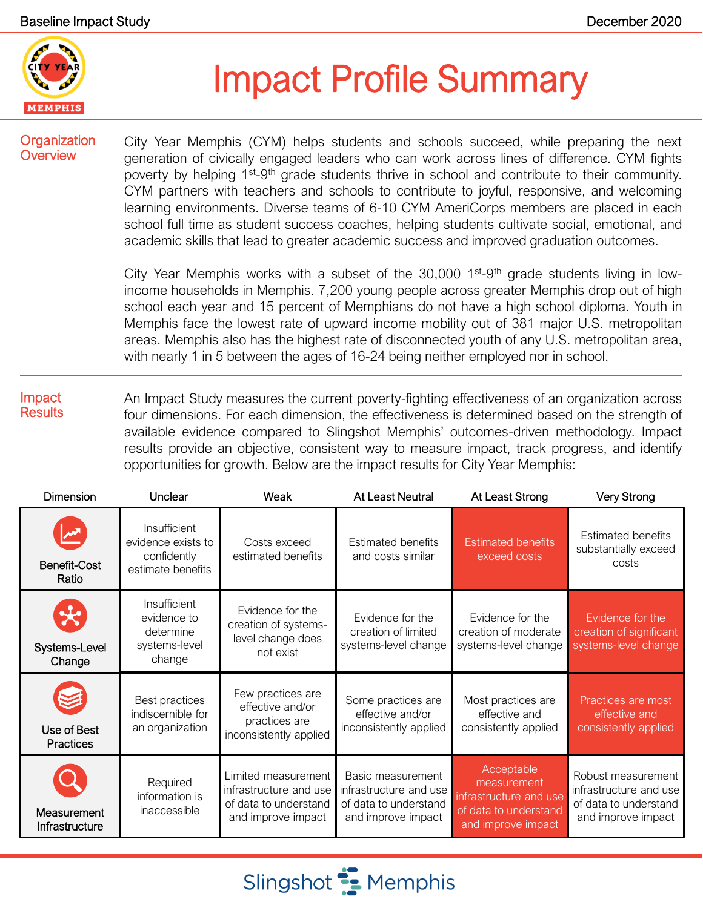

# Impact Profile Summary

#### **Organization Overview**

City Year Memphis (CYM) helps students and schools succeed, while preparing the next generation of civically engaged leaders who can work across lines of difference. CYM fights poverty by helping 1<sup>st</sup>-9<sup>th</sup> grade students thrive in school and contribute to their community. CYM partners with teachers and schools to contribute to joyful, responsive, and welcoming learning environments. Diverse teams of 6-10 CYM AmeriCorps members are placed in each school full time as student success coaches, helping students cultivate social, emotional, and academic skills that lead to greater academic success and improved graduation outcomes.

City Year Memphis works with a subset of the  $30,000$  1<sup>st</sup>-9<sup>th</sup> grade students living in lowincome households in Memphis. 7,200 young people across greater Memphis drop out of high school each year and 15 percent of Memphians do not have a high school diploma. Youth in Memphis face the lowest rate of upward income mobility out of 381 major U.S. metropolitan areas. Memphis also has the highest rate of disconnected youth of any U.S. metropolitan area, with nearly 1 in 5 between the ages of 16-24 being neither employed nor in school.

#### Impact **Results** An Impact Study measures the current poverty-fighting effectiveness of an organization across four dimensions. For each dimension, the effectiveness is determined based on the strength of available evidence compared to Slingshot Memphis' outcomes-driven methodology. Impact results provide an objective, consistent way to measure impact, track progress, and identify opportunities for growth. Below are the impact results for City Year Memphis:

| <b>Dimension</b>                         | Unclear                                                                | Weak                                                                                         | <b>At Least Neutral</b>                                                                    | At Least Strong                                                                                    | Very Strong                                                                                 |
|------------------------------------------|------------------------------------------------------------------------|----------------------------------------------------------------------------------------------|--------------------------------------------------------------------------------------------|----------------------------------------------------------------------------------------------------|---------------------------------------------------------------------------------------------|
| <b>Benefit-Cost</b><br>Ratio             | Insufficient<br>evidence exists to<br>confidently<br>estimate benefits | Costs exceed<br>estimated benefits                                                           | <b>Estimated benefits</b><br>and costs similar                                             | <b>Estimated benefits</b><br>exceed costs                                                          | <b>Estimated benefits</b><br>substantially exceed<br>costs                                  |
| $\mathcal{R}$<br>Systems-Level<br>Change | Insufficient<br>evidence to<br>determine<br>systems-level<br>change    | Evidence for the<br>creation of systems-<br>level change does<br>not exist                   | Evidence for the<br>creation of limited<br>systems-level change                            | Evidence for the<br>creation of moderate<br>systems-level change                                   | Evidence for the<br>creation of significant<br>systems-level change                         |
| Use of Best<br><b>Practices</b>          | Best practices<br>indiscernible for<br>an organization                 | Few practices are<br>effective and/or<br>practices are<br>inconsistently applied             | Some practices are<br>effective and/or<br>inconsistently applied                           | Most practices are<br>effective and<br>consistently applied                                        | Practices are most<br>effective and<br>consistently applied                                 |
| Measurement<br>Infrastructure            | Required<br>information is<br>inaccessible                             | Limited measurement<br>infrastructure and use<br>of data to understand<br>and improve impact | Basic measurement<br>infrastructure and use<br>of data to understand<br>and improve impact | Acceptable<br>measurement<br>infrastructure and use<br>of data to understand<br>and improve impact | Robust measurement<br>infrastructure and use<br>of data to understand<br>and improve impact |

Slingshot **:** Memphis